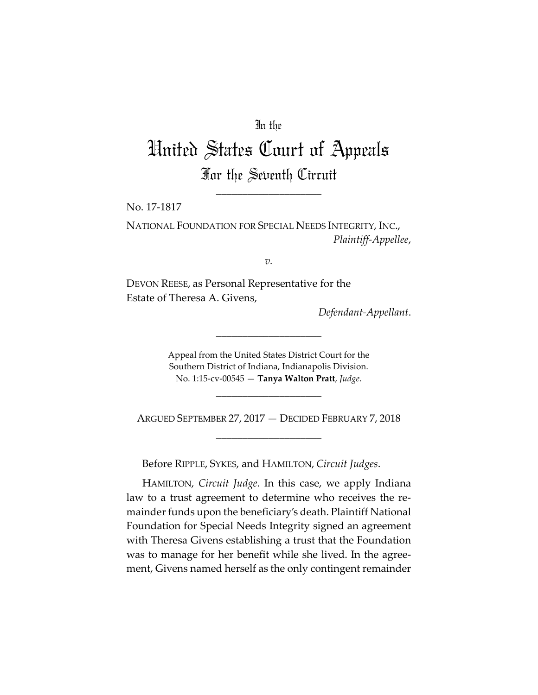## In the

# United States Court of Appeals For the Seventh Circuit

\_\_\_\_\_\_\_\_\_\_\_\_\_\_\_\_\_\_\_\_

No. 17‐1817

NATIONAL FOUNDATION FOR SPECIAL NEEDS INTEGRITY, INC., *Plaintiff‐Appellee*,

*v.*

DEVON REESE, as Personal Representative for the Estate of Theresa A. Givens,

*Defendant‐Appellant*.

Appeal from the United States District Court for the Southern District of Indiana, Indianapolis Division. No. 1:15‐cv‐00545 — **Tanya Walton Pratt**, *Judge*.

\_\_\_\_\_\_\_\_\_\_\_\_\_\_\_\_\_\_\_\_

ARGUED SEPTEMBER 27, 2017 — DECIDED FEBRUARY 7, 2018 \_\_\_\_\_\_\_\_\_\_\_\_\_\_\_\_\_\_\_\_

\_\_\_\_\_\_\_\_\_\_\_\_\_\_\_\_\_\_\_\_

Before RIPPLE, SYKES, and HAMILTON, *Circuit Judges*.

HAMILTON, *Circuit Judge*. In this case, we apply Indiana law to a trust agreement to determine who receives the remainder funds upon the beneficiary's death. Plaintiff National Foundation for Special Needs Integrity signed an agreement with Theresa Givens establishing a trust that the Foundation was to manage for her benefit while she lived. In the agreement, Givens named herself as the only contingent remainder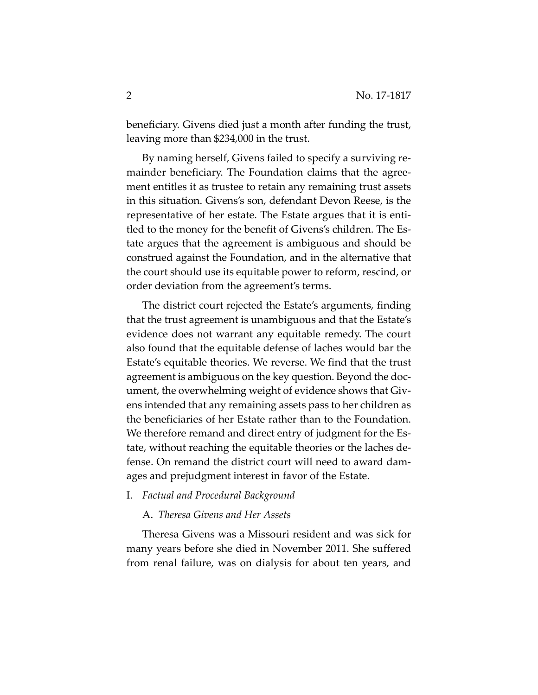beneficiary. Givens died just a month after funding the trust, leaving more than \$234,000 in the trust.

By naming herself, Givens failed to specify a surviving re‐ mainder beneficiary. The Foundation claims that the agree‐ ment entitles it as trustee to retain any remaining trust assets in this situation. Givens's son, defendant Devon Reese, is the representative of her estate. The Estate argues that it is entitled to the money for the benefit of Givens's children. The Es‐ tate argues that the agreement is ambiguous and should be construed against the Foundation, and in the alternative that the court should use its equitable power to reform, rescind, or order deviation from the agreement's terms.

The district court rejected the Estate's arguments, finding that the trust agreement is unambiguous and that the Estate's evidence does not warrant any equitable remedy. The court also found that the equitable defense of laches would bar the Estate's equitable theories. We reverse. We find that the trust agreement is ambiguous on the key question. Beyond the doc‐ ument, the overwhelming weight of evidence shows that Giv‐ ens intended that any remaining assets pass to her children as the beneficiaries of her Estate rather than to the Foundation. We therefore remand and direct entry of judgment for the Estate, without reaching the equitable theories or the laches de‐ fense. On remand the district court will need to award dam‐ ages and prejudgment interest in favor of the Estate.

#### I. *Factual and Procedural Background*

## A. *Theresa Givens and Her Assets*

Theresa Givens was a Missouri resident and was sick for many years before she died in November 2011. She suffered from renal failure, was on dialysis for about ten years, and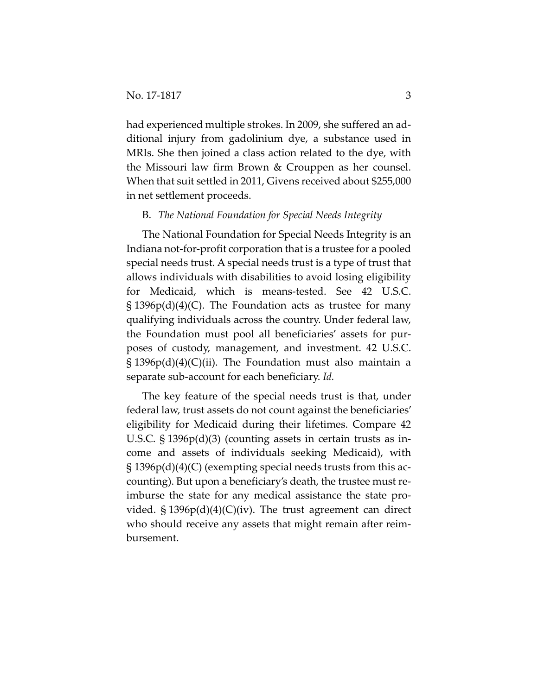had experienced multiple strokes. In 2009, she suffered an additional injury from gadolinium dye, a substance used in MRIs. She then joined a class action related to the dye, with the Missouri law firm Brown & Crouppen as her counsel. When that suit settled in 2011, Givens received about \$255,000 in net settlement proceeds.

## B. *The National Foundation for Special Needs Integrity*

The National Foundation for Special Needs Integrity is an Indiana not‐for‐profit corporation that is a trustee for a pooled special needs trust. A special needs trust is a type of trust that allows individuals with disabilities to avoid losing eligibility for Medicaid, which is means‐tested. See 42 U.S.C.  $\S 1396p(d)(4)(C)$ . The Foundation acts as trustee for many qualifying individuals across the country. Under federal law, the Foundation must pool all beneficiaries' assets for pur‐ poses of custody, management, and investment. 42 U.S.C. § 1396p(d)(4)(C)(ii). The Foundation must also maintain a separate sub‐account for each beneficiary. *Id.*

The key feature of the special needs trust is that, under federal law, trust assets do not count against the beneficiaries' eligibility for Medicaid during their lifetimes. Compare 42 U.S.C. § 1396p(d)(3) (counting assets in certain trusts as in‐ come and assets of individuals seeking Medicaid), with  $\S 1396p(d)(4)(C)$  (exempting special needs trusts from this accounting). But upon a beneficiary's death, the trustee must re‐ imburse the state for any medical assistance the state pro‐ vided. § 1396p(d)(4)(C)(iv). The trust agreement can direct who should receive any assets that might remain after reimbursement.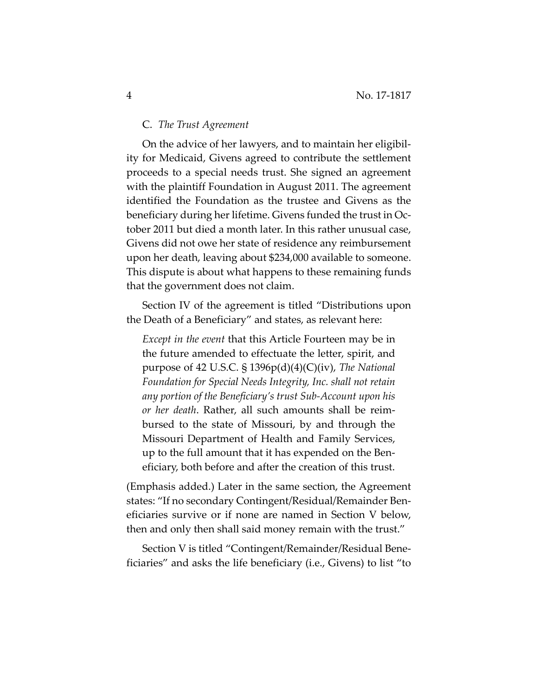## C. *The Trust Agreement*

On the advice of her lawyers, and to maintain her eligibil‐ ity for Medicaid, Givens agreed to contribute the settlement proceeds to a special needs trust. She signed an agreement with the plaintiff Foundation in August 2011. The agreement identified the Foundation as the trustee and Givens as the beneficiary during her lifetime. Givens funded the trust in Oc‐ tober 2011 but died a month later. In this rather unusual case, Givens did not owe her state of residence any reimbursement upon her death, leaving about \$234,000 available to someone. This dispute is about what happens to these remaining funds that the government does not claim.

Section IV of the agreement is titled "Distributions upon the Death of a Beneficiary" and states, as relevant here:

*Except in the event* that this Article Fourteen may be in the future amended to effectuate the letter, spirit, and purpose of 42 U.S.C. § 1396p(d)(4)(C)(iv), *The National Foundation for Special Needs Integrity, Inc. shall not retain any portion of the Beneficiary's trust Sub‐Account upon his or her death*. Rather, all such amounts shall be reim‐ bursed to the state of Missouri, by and through the Missouri Department of Health and Family Services, up to the full amount that it has expended on the Ben‐ eficiary, both before and after the creation of this trust.

(Emphasis added.) Later in the same section, the Agreement states: "If no secondary Contingent/Residual/Remainder Ben‐ eficiaries survive or if none are named in Section V below, then and only then shall said money remain with the trust."

Section V is titled "Contingent/Remainder/Residual Bene‐ ficiaries" and asks the life beneficiary (i.e., Givens) to list "to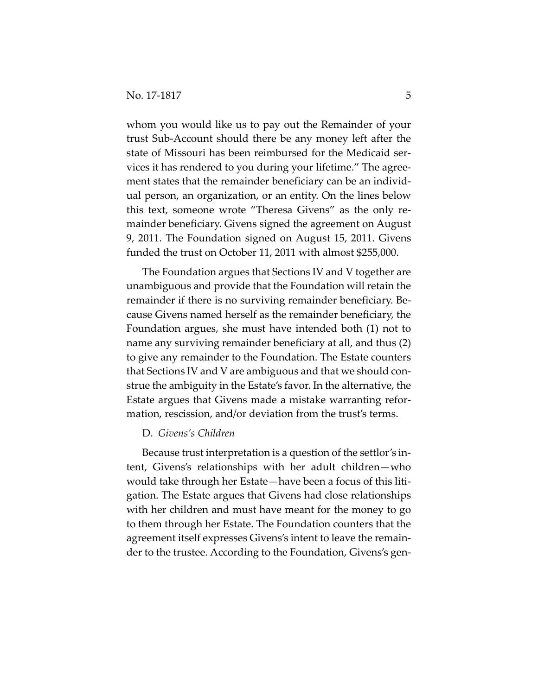whom you would like us to pay out the Remainder of your trust Sub‐Account should there be any money left after the state of Missouri has been reimbursed for the Medicaid ser‐ vices it has rendered to you during your lifetime." The agree‐ ment states that the remainder beneficiary can be an individual person, an organization, or an entity. On the lines below this text, someone wrote "Theresa Givens" as the only re‐ mainder beneficiary. Givens signed the agreement on August 9, 2011. The Foundation signed on August 15, 2011. Givens funded the trust on October 11, 2011 with almost \$255,000.

The Foundation argues that Sections IV and V together are unambiguous and provide that the Foundation will retain the remainder if there is no surviving remainder beneficiary. Be‐ cause Givens named herself as the remainder beneficiary, the Foundation argues, she must have intended both (1) not to name any surviving remainder beneficiary at all, and thus (2) to give any remainder to the Foundation. The Estate counters that Sections IV and V are ambiguous and that we should con‐ strue the ambiguity in the Estate's favor. In the alternative, the Estate argues that Givens made a mistake warranting refor‐ mation, rescission, and/or deviation from the trust's terms.

## D. *Givens's Children*

Because trust interpretation is a question of the settlor's in‐ tent, Givens's relationships with her adult children—who would take through her Estate—have been a focus of this liti‐ gation. The Estate argues that Givens had close relationships with her children and must have meant for the money to go to them through her Estate. The Foundation counters that the agreement itself expresses Givens's intent to leave the remain‐ der to the trustee. According to the Foundation, Givens's gen‐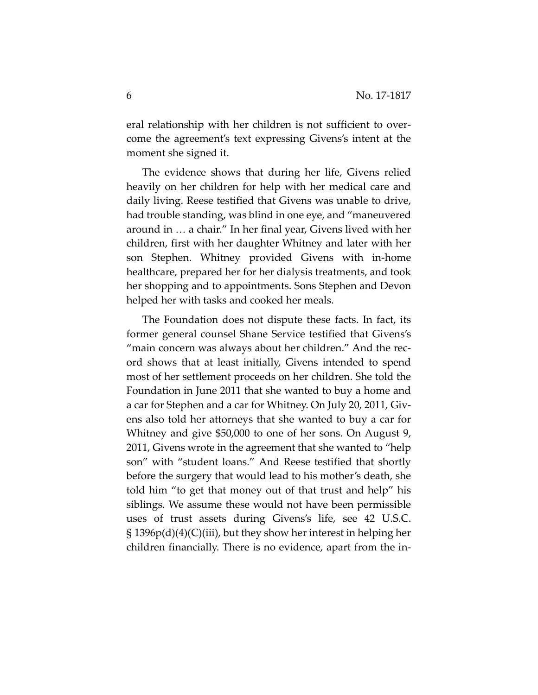eral relationship with her children is not sufficient to overcome the agreement's text expressing Givens's intent at the moment she signed it.

The evidence shows that during her life, Givens relied heavily on her children for help with her medical care and daily living. Reese testified that Givens was unable to drive, had trouble standing, was blind in one eye, and "maneuvered around in ... a chair." In her final year, Givens lived with her children, first with her daughter Whitney and later with her son Stephen. Whitney provided Givens with in‐home healthcare, prepared her for her dialysis treatments, and took her shopping and to appointments. Sons Stephen and Devon helped her with tasks and cooked her meals.

The Foundation does not dispute these facts. In fact, its former general counsel Shane Service testified that Givens's "main concern was always about her children." And the rec‐ ord shows that at least initially, Givens intended to spend most of her settlement proceeds on her children. She told the Foundation in June 2011 that she wanted to buy a home and a car for Stephen and a car for Whitney. On July 20, 2011, Giv‐ ens also told her attorneys that she wanted to buy a car for Whitney and give \$50,000 to one of her sons. On August 9, 2011, Givens wrote in the agreement that she wanted to "help son" with "student loans." And Reese testified that shortly before the surgery that would lead to his mother's death, she told him "to get that money out of that trust and help" his siblings. We assume these would not have been permissible uses of trust assets during Givens's life, see 42 U.S.C. § 1396p(d)(4)(C)(iii), but they show her interest in helping her children financially. There is no evidence, apart from the in‐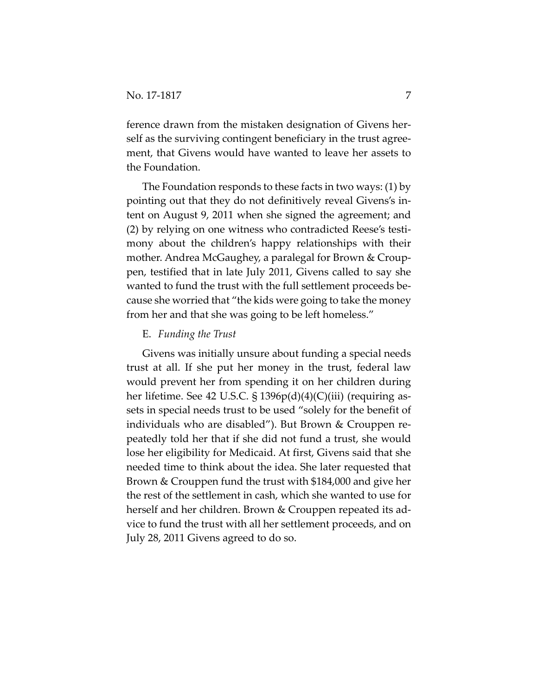ference drawn from the mistaken designation of Givens herself as the surviving contingent beneficiary in the trust agreement, that Givens would have wanted to leave her assets to the Foundation.

The Foundation responds to these facts in two ways: (1) by pointing out that they do not definitively reveal Givens's in‐ tent on August 9, 2011 when she signed the agreement; and (2) by relying on one witness who contradicted Reese's testi‐ mony about the children's happy relationships with their mother. Andrea McGaughey, a paralegal for Brown & Croup‐ pen, testified that in late July 2011, Givens called to say she wanted to fund the trust with the full settlement proceeds be‐ cause she worried that "the kids were going to take the money from her and that she was going to be left homeless."

## E. *Funding the Trust*

Givens was initially unsure about funding a special needs trust at all. If she put her money in the trust, federal law would prevent her from spending it on her children during her lifetime. See 42 U.S.C. § 1396p(d)(4)(C)(iii) (requiring assets in special needs trust to be used "solely for the benefit of individuals who are disabled"). But Brown & Crouppen re‐ peatedly told her that if she did not fund a trust, she would lose her eligibility for Medicaid. At first, Givens said that she needed time to think about the idea. She later requested that Brown & Crouppen fund the trust with \$184,000 and give her the rest of the settlement in cash, which she wanted to use for herself and her children. Brown & Crouppen repeated its ad‐ vice to fund the trust with all her settlement proceeds, and on July 28, 2011 Givens agreed to do so.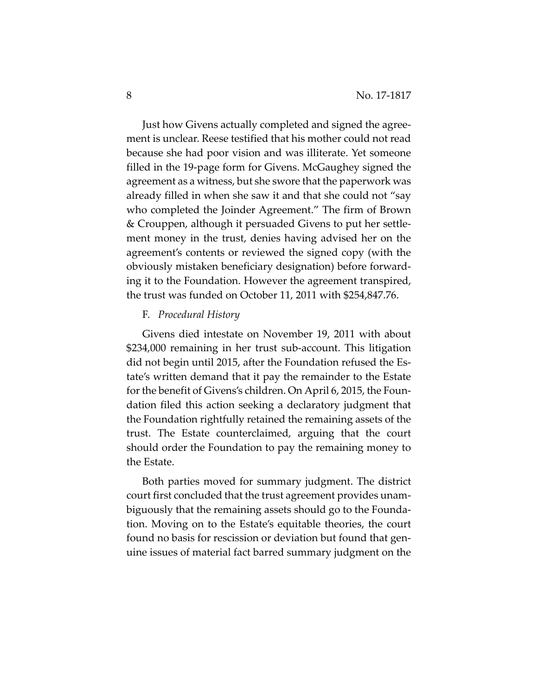Just how Givens actually completed and signed the agree‐ ment is unclear. Reese testified that his mother could not read because she had poor vision and was illiterate. Yet someone filled in the 19‐page form for Givens. McGaughey signed the agreement as a witness, but she swore that the paperwork was already filled in when she saw it and that she could not "say who completed the Joinder Agreement." The firm of Brown & Crouppen, although it persuaded Givens to put her settle‐ ment money in the trust, denies having advised her on the agreement's contents or reviewed the signed copy (with the obviously mistaken beneficiary designation) before forward‐ ing it to the Foundation. However the agreement transpired, the trust was funded on October 11, 2011 with \$254,847.76.

## F. *Procedural History*

Givens died intestate on November 19, 2011 with about \$234,000 remaining in her trust sub‐account. This litigation did not begin until 2015, after the Foundation refused the Es‐ tate's written demand that it pay the remainder to the Estate for the benefit of Givens's children. On April 6, 2015, the Foundation filed this action seeking a declaratory judgment that the Foundation rightfully retained the remaining assets of the trust. The Estate counterclaimed, arguing that the court should order the Foundation to pay the remaining money to the Estate.

Both parties moved for summary judgment. The district court first concluded that the trust agreement provides unam‐ biguously that the remaining assets should go to the Founda‐ tion. Moving on to the Estate's equitable theories, the court found no basis for rescission or deviation but found that gen‐ uine issues of material fact barred summary judgment on the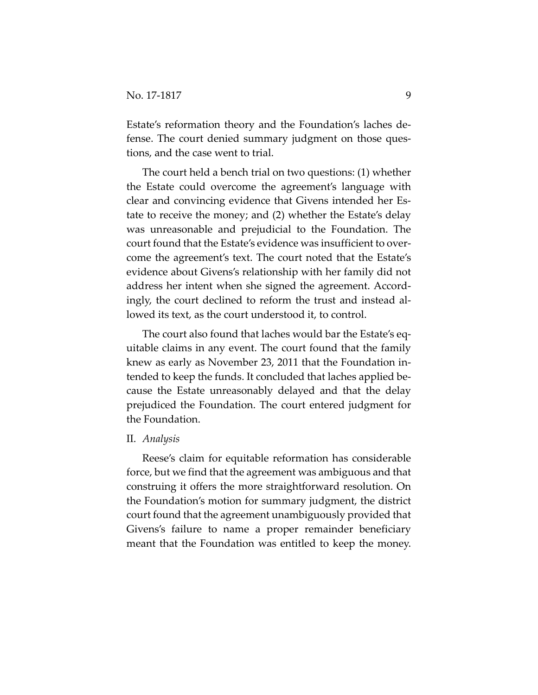Estate's reformation theory and the Foundation's laches de‐ fense. The court denied summary judgment on those questions, and the case went to trial.

The court held a bench trial on two questions: (1) whether the Estate could overcome the agreement's language with clear and convincing evidence that Givens intended her Es‐ tate to receive the money; and (2) whether the Estate's delay was unreasonable and prejudicial to the Foundation. The court found that the Estate's evidence was insufficient to over‐ come the agreement's text. The court noted that the Estate's evidence about Givens's relationship with her family did not address her intent when she signed the agreement. Accord‐ ingly, the court declined to reform the trust and instead al‐ lowed its text, as the court understood it, to control.

The court also found that laches would bar the Estate's eq‐ uitable claims in any event. The court found that the family knew as early as November 23, 2011 that the Foundation in‐ tended to keep the funds. It concluded that laches applied be‐ cause the Estate unreasonably delayed and that the delay prejudiced the Foundation. The court entered judgment for the Foundation.

## II. *Analysis*

Reese's claim for equitable reformation has considerable force, but we find that the agreement was ambiguous and that construing it offers the more straightforward resolution. On the Foundation's motion for summary judgment, the district court found that the agreement unambiguously provided that Givens's failure to name a proper remainder beneficiary meant that the Foundation was entitled to keep the money.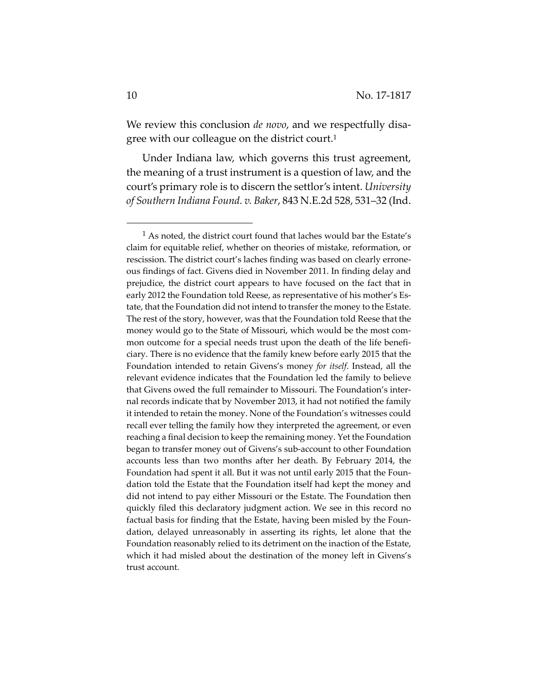We review this conclusion *de novo*, and we respectfully disagree with our colleague on the district court.<sup>1</sup>

Under Indiana law, which governs this trust agreement, the meaning of a trust instrument is a question of law, and the court's primary role is to discern the settlor's intent. *University of Southern Indiana Found. v. Baker*, 843 N.E.2d 528, 531–32 (Ind.

<sup>&</sup>lt;sup>1</sup> As noted, the district court found that laches would bar the Estate's claim for equitable relief, whether on theories of mistake, reformation, or rescission. The district court's laches finding was based on clearly errone‐ ous findings of fact. Givens died in November 2011. In finding delay and prejudice, the district court appears to have focused on the fact that in early 2012 the Foundation told Reese, as representative of his mother's Es‐ tate, that the Foundation did not intend to transfer the money to the Estate. The rest of the story, however, was that the Foundation told Reese that the money would go to the State of Missouri, which would be the most com‐ mon outcome for a special needs trust upon the death of the life beneficiary. There is no evidence that the family knew before early 2015 that the Foundation intended to retain Givens's money *for itself*. Instead, all the relevant evidence indicates that the Foundation led the family to believe that Givens owed the full remainder to Missouri. The Foundation's inter‐ nal records indicate that by November 2013, it had not notified the family it intended to retain the money. None of the Foundation's witnesses could recall ever telling the family how they interpreted the agreement, or even reaching a final decision to keep the remaining money. Yet the Foundation began to transfer money out of Givens's sub‐account to other Foundation accounts less than two months after her death. By February 2014, the Foundation had spent it all. But it was not until early 2015 that the Foun‐ dation told the Estate that the Foundation itself had kept the money and did not intend to pay either Missouri or the Estate. The Foundation then quickly filed this declaratory judgment action. We see in this record no factual basis for finding that the Estate, having been misled by the Foundation, delayed unreasonably in asserting its rights, let alone that the Foundation reasonably relied to its detriment on the inaction of the Estate, which it had misled about the destination of the money left in Givens's trust account.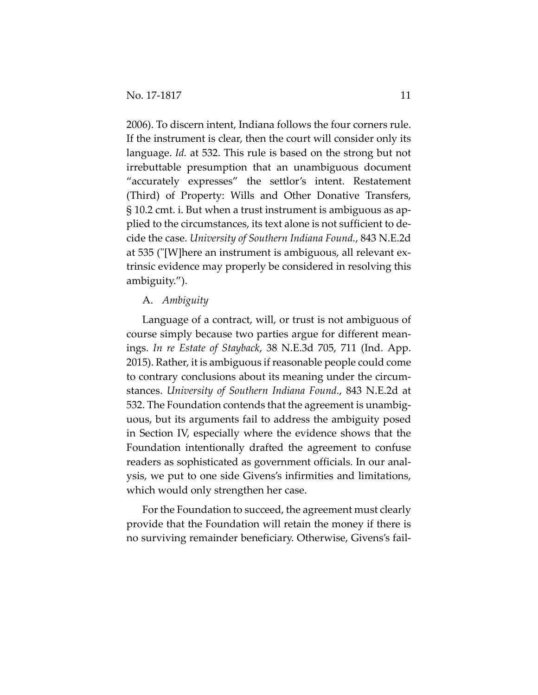2006). To discern intent, Indiana follows the four corners rule. If the instrument is clear, then the court will consider only its language. *Id.* at 532. This rule is based on the strong but not irrebuttable presumption that an unambiguous document "accurately expresses" the settlor's intent. Restatement (Third) of Property: Wills and Other Donative Transfers, § 10.2 cmt. i. But when a trust instrument is ambiguous as ap‐ plied to the circumstances, its text alone is not sufficient to de‐ cide the case. *University of Southern Indiana Found.*, 843 N.E.2d at 535 (ʺ[W]here an instrument is ambiguous, all relevant ex‐ trinsic evidence may properly be considered in resolving this ambiguity.").

## A. *Ambiguity*

Language of a contract, will, or trust is not ambiguous of course simply because two parties argue for different mean‐ ings. *In re Estate of Stayback*, 38 N.E.3d 705, 711 (Ind. App. 2015). Rather, it is ambiguous ifreasonable people could come to contrary conclusions about its meaning under the circum‐ stances. *University of Southern Indiana Found.*, 843 N.E.2d at 532. The Foundation contends that the agreement is unambig‐ uous, but its arguments fail to address the ambiguity posed in Section IV, especially where the evidence shows that the Foundation intentionally drafted the agreement to confuse readers as sophisticated as government officials. In our anal‐ ysis, we put to one side Givens's infirmities and limitations, which would only strengthen her case.

For the Foundation to succeed, the agreement must clearly provide that the Foundation will retain the money if there is no surviving remainder beneficiary. Otherwise, Givens's fail‐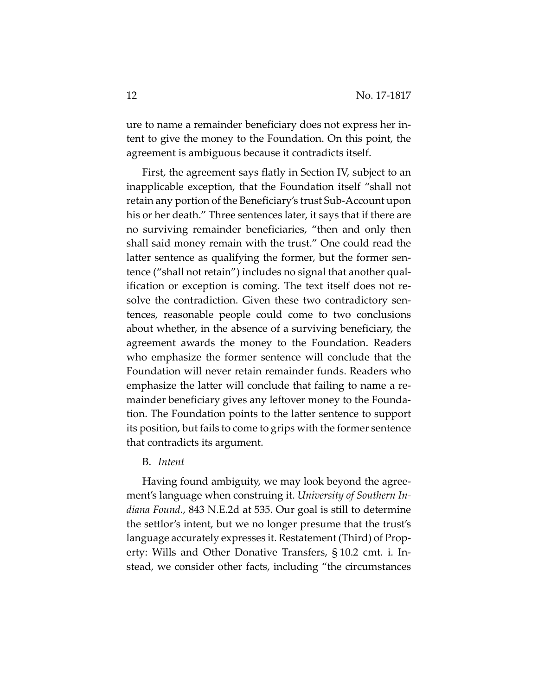ure to name a remainder beneficiary does not express her in‐ tent to give the money to the Foundation. On this point, the agreement is ambiguous because it contradicts itself.

First, the agreement says flatly in Section IV, subject to an inapplicable exception, that the Foundation itself "shall not retain any portion of the Beneficiary's trust Sub‐Account upon his or her death." Three sentences later, it says that if there are no surviving remainder beneficiaries, "then and only then shall said money remain with the trust." One could read the latter sentence as qualifying the former, but the former sentence ("shall not retain") includes no signal that another qual‐ ification or exception is coming. The text itself does not re‐ solve the contradiction. Given these two contradictory sentences, reasonable people could come to two conclusions about whether, in the absence of a surviving beneficiary, the agreement awards the money to the Foundation. Readers who emphasize the former sentence will conclude that the Foundation will never retain remainder funds. Readers who emphasize the latter will conclude that failing to name a remainder beneficiary gives any leftover money to the Founda‐ tion. The Foundation points to the latter sentence to support its position, but fails to come to grips with the former sentence that contradicts its argument.

## B. *Intent*

Having found ambiguity, we may look beyond the agree‐ ment's language when construing it. *University of Southern In‐ diana Found.*, 843 N.E.2d at 535. Our goal is still to determine the settlor's intent, but we no longer presume that the trust's language accurately expresses it. Restatement (Third) of Prop‐ erty: Wills and Other Donative Transfers, § 10.2 cmt. i. In‐ stead, we consider other facts, including "the circumstances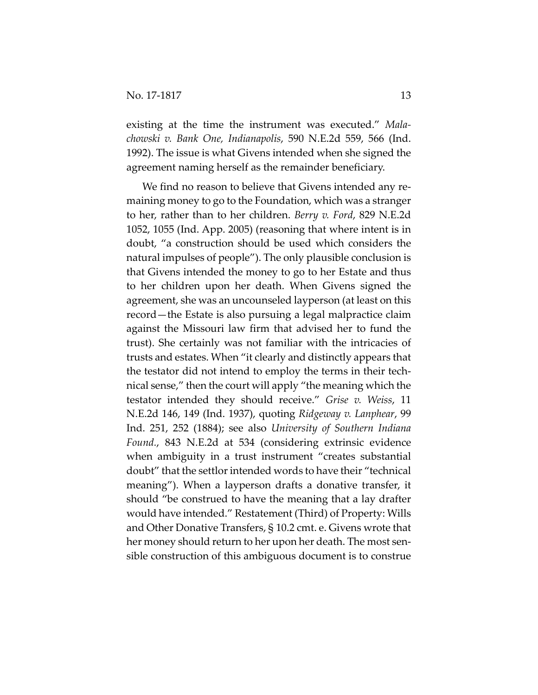existing at the time the instrument was executed." *Mala‐ chowski v. Bank One, Indianapolis*, 590 N.E.2d 559, 566 (Ind. 1992). The issue is what Givens intended when she signed the agreement naming herself as the remainder beneficiary.

We find no reason to believe that Givens intended any remaining money to go to the Foundation, which was a stranger to her, rather than to her children. *Berry v. Ford*, 829 N.E.2d 1052, 1055 (Ind. App. 2005) (reasoning that where intent is in doubt, "a construction should be used which considers the natural impulses of people"). The only plausible conclusion is that Givens intended the money to go to her Estate and thus to her children upon her death. When Givens signed the agreement, she was an uncounseled layperson (at least on this record—the Estate is also pursuing a legal malpractice claim against the Missouri law firm that advised her to fund the trust). She certainly was not familiar with the intricacies of trusts and estates. When "it clearly and distinctly appears that the testator did not intend to employ the terms in their tech‐ nical sense," then the court will apply "the meaning which the testator intended they should receive." *Grise v. Weiss*, 11 N.E.2d 146, 149 (Ind. 1937), quoting *Ridgeway v. Lanphear*, 99 Ind. 251, 252 (1884); see also *University of Southern Indiana Found.*, 843 N.E.2d at 534 (considering extrinsic evidence when ambiguity in a trust instrument "creates substantial doubt" that the settlor intended words to have their "technical meaning"). When a layperson drafts a donative transfer, it should "be construed to have the meaning that a lay drafter would have intended." Restatement (Third) of Property: Wills and Other Donative Transfers, § 10.2 cmt. e. Givens wrote that her money should return to her upon her death. The most sensible construction of this ambiguous document is to construe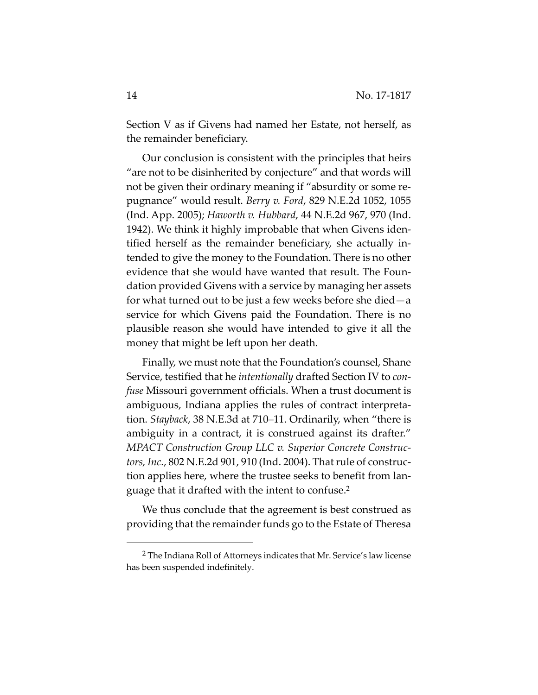Section V as if Givens had named her Estate, not herself, as the remainder beneficiary.

Our conclusion is consistent with the principles that heirs "are not to be disinherited by conjecture" and that words will not be given their ordinary meaning if "absurdity or some re‐ pugnance" would result. *Berry v. Ford*, 829 N.E.2d 1052, 1055 (Ind. App. 2005); *Haworth v. Hubbard*, 44 N.E.2d 967, 970 (Ind. 1942). We think it highly improbable that when Givens iden‐ tified herself as the remainder beneficiary, she actually in‐ tended to give the money to the Foundation. There is no other evidence that she would have wanted that result. The Foun‐ dation provided Givens with a service by managing her assets for what turned out to be just a few weeks before she died—a service for which Givens paid the Foundation. There is no plausible reason she would have intended to give it all the money that might be left upon her death.

Finally, we must note that the Foundation's counsel, Shane Service, testified that he *intentionally* drafted Section IV to *con‐ fuse* Missouri government officials. When a trust document is ambiguous, Indiana applies the rules of contract interpreta‐ tion. *Stayback*, 38 N.E.3d at 710–11. Ordinarily, when "there is ambiguity in a contract, it is construed against its drafter." *MPACT Construction Group LLC v. Superior Concrete Construc‐ tors, Inc.*, 802 N.E.2d 901, 910 (Ind. 2004). Thatrule of construc‐ tion applies here, where the trustee seeks to benefit from lan‐ guage that it drafted with the intent to confuse.2

We thus conclude that the agreement is best construed as providing that the remainder funds go to the Estate of Theresa

<sup>2</sup> The Indiana Roll of Attorneys indicates that Mr. Service's law license has been suspended indefinitely.